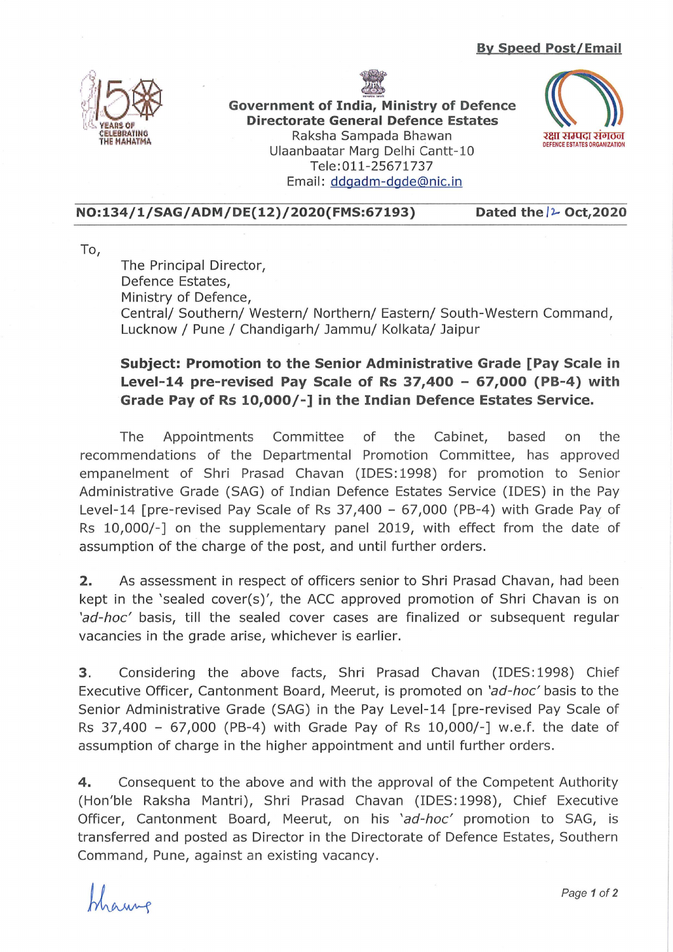



**Government of India, Ministry of Defence Directorate General Defence Estates**  Raksha Sampada Bhawan Ulaanbaatar Marg Delhi Cantt-10 Tele: 011-25671737 Email: ddgadm-dgde@nic.in



**NO:134/1/SAG/ADM/DE(12)/2020(FMS:67193)** Dated the  $\frac{1}{2}$  Oct,2020

To,

The Principal Director, Defence Estates, Ministry of Defence, Central/ Southern/ Western/ Northern/ Eastern/ South-Western Command, Lucknow / Pune / Chandigarh/ Jammu/ Kolkata/ Jaipur

## **Subject: Promotion to the Senior Administrative Grade [Pay Scale in Level-14 pre-revised Pay Scale of Rs 37,400 - 67,000 (PB-4) with Grade Pay of Rs 10,000/-] in the Indian Defence Estates Service.**

The Appointments Committee of the Cabinet, based on the recommendations of the Departmental Promotion Committee, has approved empanelment of Shri Prasad Chavan (IDES: 1998) for promotion to Senior Administrative Grade (SAG) of Indian Defence Estates Service (IDES) in the Pay Level-14 [pre-revised Pay Scale of Rs 37,400 - 67,000 (PB-4) with Grade Pay of Rs 10,000/-] on the supplementary panel 2019, with effect from the date of assumption of the charge of the post, and until further orders.

**2.** As assessment in respect of officers senior to Shri Prasad Chavan, had been kept in the 'sealed cover(s)', the ACC approved promotion of Shri Chavan is on 'ad-hoc' basis, till the sealed cover cases are finalized or subsequent regular vacancies in the grade arise, whichever is earlier.

**3.** Considering the above facts, Shri Prasad Chavan (IDES: 1998) Chief Executive Officer, Cantonment Board, Meerut, is promoted on 'ad-hoc' basis to the Senior Administrative Grade (SAG) in the Pay Level-14 [pre-revised Pay Scale of Rs 37,400 - 67,000 (PB-4) with Grade Pay of Rs 10,000/-] w.e.f. the date of assumption of charge in the higher appointment and until further orders.

**4.** Consequent to the above and with the approval of the Competent Authority (Hon'ble Raksha Mantri), Shri Prasad Chavan (IDES: 1998), Chief Executive Officer, Cantonment Board, Meerut, on his 'ad-hoc' promotion to SAG, is transferred and posted as Director in the Directorate of Defence Estates, Southern Command, Pune, against an existing vacancy.

haune

Page 1 of 2